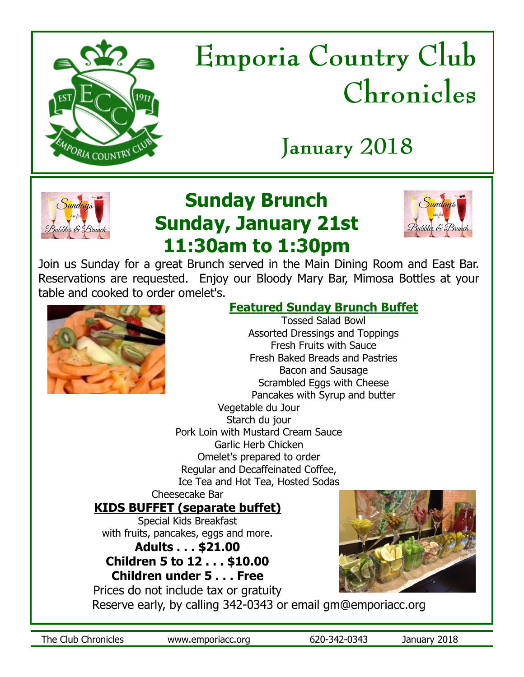

# **Emporia Country Club** Chronicles

## January 2018



## **Sunday Brunch Sunday, January 21st 11:30am to 1:30pm**



Join us Sunday for a great Brunch served in the Main Dining Room and East Bar. Reservations are requested. Enjoy our Bloody Mary Bar, Mimosa Bottles at your table and cooked to order omelet's.



## **Featured Sunday Brunch Buffet**

Tossed Salad Bowl Assorted Dressings and Toppings Fresh Fruits with Sauce Fresh Baked Breads and Pastries Bacon and Sausage Scrambled Eggs with Cheese Pancakes with Syrup and butter Vegetable du Jour Starch du jour Pork Loin with Mustard Cream Sauce Garlic Herb Chicken Omelet's prepared to order Regular and Decaffeinated Coffee, Ice Tea and Hot Tea, Hosted Sodas

#### Cheesecake Bar **KIDS BUFFET (separate buffet)**

Special Kids Breakfast with fruits, pancakes, eggs and more.

## **Adults . . . \$21.00 Children 5 to 12 . . . \$10.00**

**Children under 5 . . . Free**



Prices do not include tax or gratuity

Reserve early, by calling 342-0343 or email gm@emporiacc.org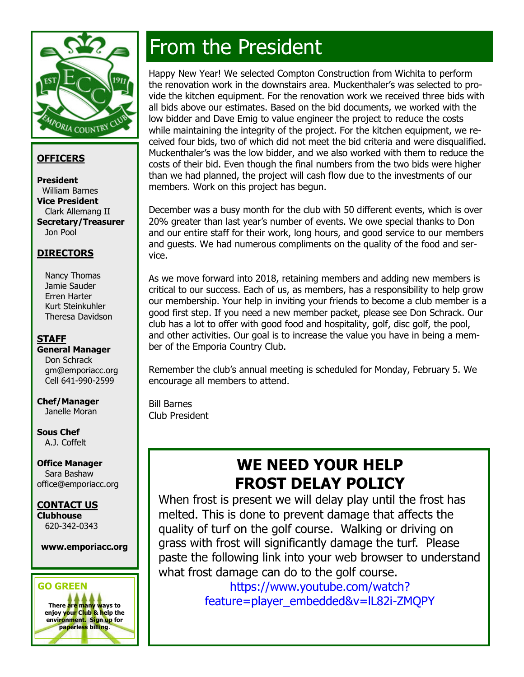

#### **OFFICERS**

**President** William Barnes **Vice President** Clark Allemang II **Secretary/Treasurer** Jon Pool

#### **DIRECTORS**

 Nancy Thomas Jamie Sauder Erren Harter Kurt Steinkuhler Theresa Davidson

#### **STAFF**

**General Manager** Don Schrack gm@emporiacc.org Cell 641-990-2599

#### **Chef/Manager** Janelle Moran

**Sous Chef**  A.J. Coffelt

**Office Manager** Sara Bashaw office@emporiacc.org

#### **CONTACT US**

**Clubhouse** 620-342-0343

#### **www.emporiacc.org**

### **GO GREEN There are many ways to enjoy your Club & help the environment. Sign up for paperless billing**.

## From the President

Happy New Year! We selected Compton Construction from Wichita to perform the renovation work in the downstairs area. Muckenthaler's was selected to provide the kitchen equipment. For the renovation work we received three bids with all bids above our estimates. Based on the bid documents, we worked with the low bidder and Dave Emig to value engineer the project to reduce the costs while maintaining the integrity of the project. For the kitchen equipment, we received four bids, two of which did not meet the bid criteria and were disqualified. Muckenthaler's was the low bidder, and we also worked with them to reduce the costs of their bid. Even though the final numbers from the two bids were higher than we had planned, the project will cash flow due to the investments of our members. Work on this project has begun.

December was a busy month for the club with 50 different events, which is over 20% greater than last year's number of events. We owe special thanks to Don and our entire staff for their work, long hours, and good service to our members and guests. We had numerous compliments on the quality of the food and service.

As we move forward into 2018, retaining members and adding new members is critical to our success. Each of us, as members, has a responsibility to help grow our membership. Your help in inviting your friends to become a club member is a good first step. If you need a new member packet, please see Don Schrack. Our club has a lot to offer with good food and hospitality, golf, disc golf, the pool, and other activities. Our goal is to increase the value you have in being a member of the Emporia Country Club.

Remember the club's annual meeting is scheduled for Monday, February 5. We encourage all members to attend.

Bill Barnes Club President

## **WE NEED YOUR HELP FROST DELAY POLICY**

When frost is present we will delay play until the frost has melted. This is done to prevent damage that affects the quality of turf on the golf course. Walking or driving on grass with frost will significantly damage the turf. Please paste the following link into your web browser to understand what frost damage can do to the golf course.

> https://www.youtube.com/watch? feature=player\_embedded&v=lL82i-ZMQPY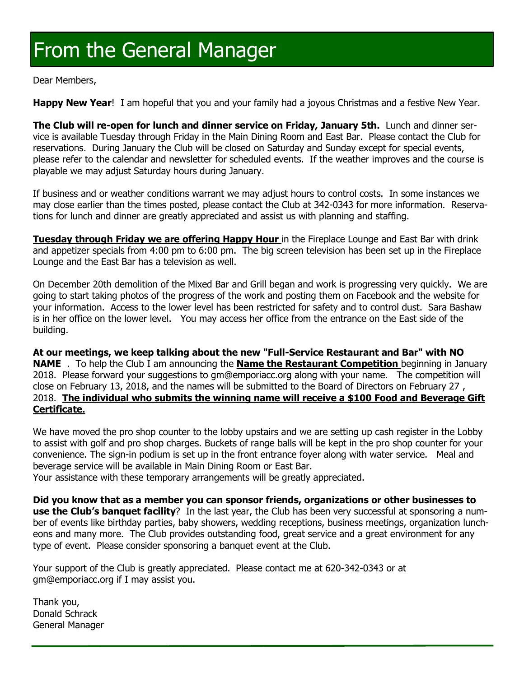## From the General Manager

Dear Members,

**Happy New Year**! I am hopeful that you and your family had a joyous Christmas and a festive New Year.

**The Club will re-open for lunch and dinner service on Friday, January 5th.** Lunch and dinner service is available Tuesday through Friday in the Main Dining Room and East Bar. Please contact the Club for reservations. During January the Club will be closed on Saturday and Sunday except for special events, please refer to the calendar and newsletter for scheduled events. If the weather improves and the course is playable we may adjust Saturday hours during January.

If business and or weather conditions warrant we may adjust hours to control costs. In some instances we may close earlier than the times posted, please contact the Club at 342-0343 for more information. Reservations for lunch and dinner are greatly appreciated and assist us with planning and staffing.

**Tuesday through Friday we are offering Happy Hour** in the Fireplace Lounge and East Bar with drink and appetizer specials from 4:00 pm to 6:00 pm. The big screen television has been set up in the Fireplace Lounge and the East Bar has a television as well.

On December 20th demolition of the Mixed Bar and Grill began and work is progressing very quickly. We are going to start taking photos of the progress of the work and posting them on Facebook and the website for your information. Access to the lower level has been restricted for safety and to control dust. Sara Bashaw is in her office on the lower level. You may access her office from the entrance on the East side of the building.

**At our meetings, we keep talking about the new "Full-Service Restaurant and Bar" with NO NAME** . To help the Club I am announcing the **Name the Restaurant Competition** beginning in January 2018. Please forward your suggestions to gm@emporiacc.org along with your name. The competition will close on February 13, 2018, and the names will be submitted to the Board of Directors on February 27 , 2018. **The individual who submits the winning name will receive a \$100 Food and Beverage Gift Certificate.**

We have moved the pro shop counter to the lobby upstairs and we are setting up cash register in the Lobby to assist with golf and pro shop charges. Buckets of range balls will be kept in the pro shop counter for your convenience. The sign-in podium is set up in the front entrance foyer along with water service. Meal and beverage service will be available in Main Dining Room or East Bar.

Your assistance with these temporary arrangements will be greatly appreciated.

**Did you know that as a member you can sponsor friends, organizations or other businesses to use the Club's banquet facility**? In the last year, the Club has been very successful at sponsoring a number of events like birthday parties, baby showers, wedding receptions, business meetings, organization luncheons and many more. The Club provides outstanding food, great service and a great environment for any type of event. Please consider sponsoring a banquet event at the Club.

Your support of the Club is greatly appreciated. Please contact me at 620-342-0343 or at gm@emporiacc.org if I may assist you.

Thank you, Donald Schrack General Manager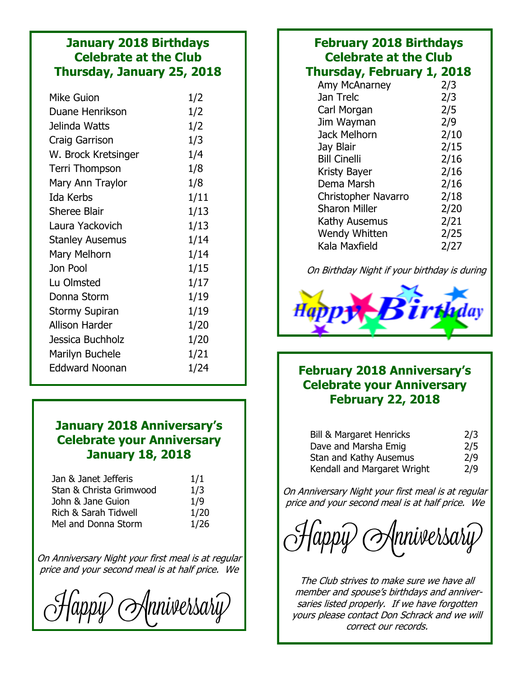### **January 2018 Birthdays Celebrate at the Club Thursday, January 25, 2018**

| 1/2  |
|------|
| 1/2  |
| 1/2  |
| 1/3  |
| 1/4  |
| 1/8  |
| 1/8  |
| 1/11 |
| 1/13 |
| 1/13 |
| 1/14 |
| 1/14 |
| 1/15 |
| 1/17 |
| 1/19 |
| 1/19 |
| 1/20 |
| 1/20 |
| 1/21 |
| 1/24 |
|      |

### **January 2018 Anniversary's Celebrate your Anniversary January 18, 2018**

| Jan & Janet Jefferis    | 1/1  |
|-------------------------|------|
| Stan & Christa Grimwood | 1/3  |
| John & Jane Guion       | 1/9  |
| Rich & Sarah Tidwell    | 1/20 |
| Mel and Donna Storm     | 1/26 |

On Anniversary Night your first meal is at regular price and your second meal is at half price. We

Mnniversariy

#### **February 2018 Birthdays Celebrate at the Club Thursday, February 1, 2018** Amy McAnarney 2/3 Jan Trelc 2/3 Carl Morgan 2/5 Jim Wayman 2/9 Jack Melhorn 2/10 Jay Blair 2/15 Bill Cinelli 2/16 Kristy Bayer 2/16 Dema Marsh 2/16 Christopher Navarro 2/18 Sharon Miller 2/20 Kathy Ausemus 2/21 Wendy Whitten 2/25 Kala Maxfield 2/27

On Birthday Night if your birthday is during



### **February 2018 Anniversary's Celebrate your Anniversary February 22, 2018**

| <b>Bill &amp; Margaret Henricks</b> | 2/3 |
|-------------------------------------|-----|
| Dave and Marsha Emig                | 2/5 |
| Stan and Kathy Ausemus              | 2/9 |
| Kendall and Margaret Wright         | 2/9 |

On Anniversary Night your first meal is at regular price and your second meal is at half price. We

 $\langle \alpha p p \hat{p} \rangle$  (Anniversary)

The Club strives to make sure we have all member and spouse's birthdays and anniversaries listed properly. If we have forgotten yours please contact Don Schrack and we will correct our records.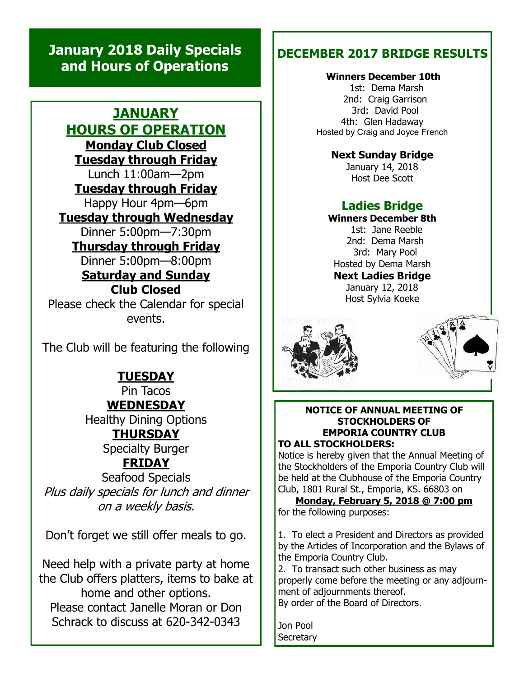## **January 2018 Daily Specials and Hours of Operations**

### **JANUARY HOURS OF OPERATION Monday Club Closed Tuesday through Friday** Lunch 11:00am—2pm **Tuesday through Friday** Happy Hour 4pm—6pm **Tuesday through Wednesday** Dinner 5:00pm—7:30pm **Thursday through Friday** Dinner 5:00pm—8:00pm **Saturday and Sunday Club Closed** Please check the Calendar for special events.

The Club will be featuring the following

## **TUESDAY**

Pin Tacos **WEDNESDAY**

Healthy Dining Options **THURSDAY**

Specialty Burger

## **FRIDAY**

Seafood Specials Plus daily specials for lunch and dinner on a weekly basis.

Don't forget we still offer meals to go.

Need help with a private party at home the Club offers platters, items to bake at home and other options. Please contact Janelle Moran or Don Schrack to discuss at 620-342-0343

## **DECEMBER 2017 BRIDGE RESULTS**

#### **Winners December 10th**

 1st: Dema Marsh 2nd: Craig Garrison 3rd: David Pool 4th: Glen Hadaway Hosted by Craig and Joyce French

#### **Next Sunday Bridge**

January 14, 2018 Host Dee Scott

### **Ladies Bridge**

#### **Winners December 8th**

 1st: Jane Reeble 2nd: Dema Marsh 3rd: Mary Pool Hosted by Dema Marsh **Next Ladies Bridge** January 12, 2018

Host Sylvia Koeke





#### **NOTICE OF ANNUAL MEETING OF STOCKHOLDERS OF EMPORIA COUNTRY CLUB TO ALL STOCKHOLDERS:**

Notice is hereby given that the Annual Meeting of the Stockholders of the Emporia Country Club will be held at the Clubhouse of the Emporia Country Club, 1801 Rural St., Emporia, KS. 66803 on

**Monday, February 5, 2018 @ 7:00 pm**  for the following purposes:

1. To elect a President and Directors as provided by the Articles of Incorporation and the Bylaws of the Emporia Country Club.

2. To transact such other business as may properly come before the meeting or any adjournment of adjournments thereof.

By order of the Board of Directors.

Jon Pool **Secretary**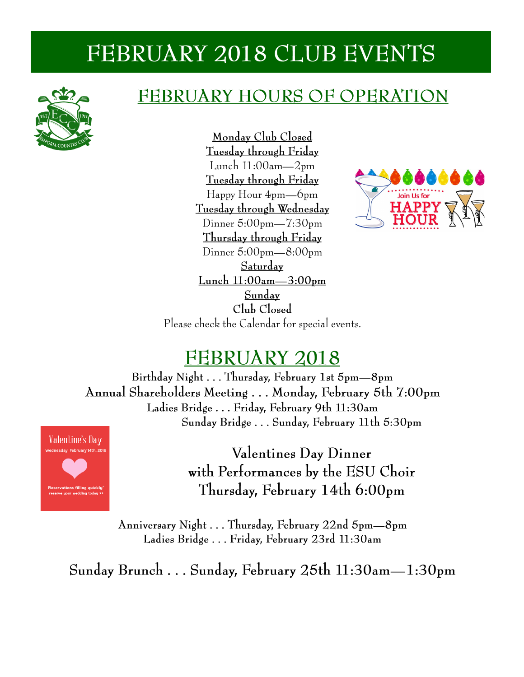## FEBRUARY 2018 CLUB EVENTS



## FEBRUARY HOURS OF OPERATION

Monday Club Closed Tuesday through Friday Lunch  $11:00$ am— $2$ pm Tuesday through Friday Happy Hour 4pm—6pm Tuesday through Wednesday Dinner  $5:00$ pm— $7:30$ pm Thursday through Friday Dinner  $5:00$ pm— $8:00$ pm Saturday <u>Lunch 11:00am-3:00pm</u> Sunday Club Closed Please check the Calendar for special events.



## **FEBRUARY 2018**

Birthday Night . . . Thursday, February 1st 5pm-8pm Annual Shareholders Meeting ... Monday, February 5th 7:00pm Ladies Bridge . . . Friday, February 9th 11:30am Sunday Bridge . . . Sunday, February 11th 5:30pm



Valentines Day Dinner with Performances by the ESU Choir Thursday, February 14th 6:00pm

Anniversary Night . . . Thursday, February 22nd 5pm-8pm Ladies Bridge ... Friday, February 23rd 11:30am

Sunday Brunch . . . Sunday, February 25th 11:30am—1:30pm